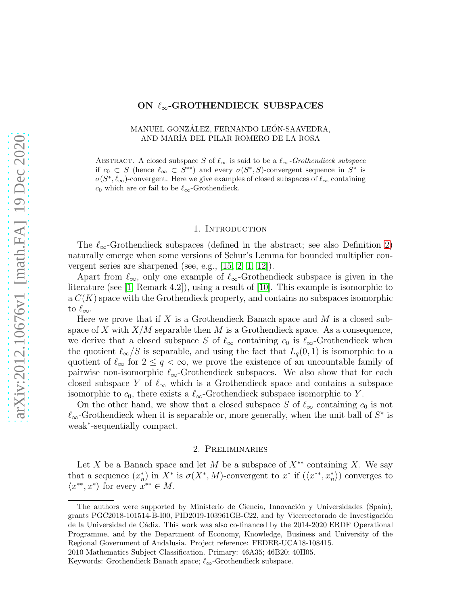# ON  $\ell_{\infty}$ -GROTHENDIECK SUBSPACES

## MANUEL GONZÁLEZ, FERNANDO LEÓN-SAAVEDRA, AND MAR´IA DEL PILAR ROMERO DE LA ROSA

ABSTRACT. A closed subspace S of  $\ell_{\infty}$  is said to be a  $\ell_{\infty}$ -Grothendieck subspace if  $c_0 \text{ }\subset S$  (hence  $\ell_{\infty} \subset \text{ } S^{**}$ ) and every  $\sigma(S^*,S)$ -convergent sequence in  $S^*$  is  $\sigma(S^*, \ell_{\infty})$ -convergent. Here we give examples of closed subspaces of  $\ell_{\infty}$  containing  $c_0$  which are or fail to be  $\ell_{\infty}$ -Grothendieck.

### 1. INTRODUCTION

The  $\ell_{\infty}$ -Grothendieck subspaces (defined in the abstract; see also Definition [2\)](#page-2-0) naturally emerge when some versions of Schur's Lemma for bounded multiplier convergent series are sharpened (see, e.g., [\[15,](#page-4-0) [2,](#page-4-1) [1,](#page-4-2) [12\]](#page-4-3)).

Apart from  $\ell_{\infty}$ , only one example of  $\ell_{\infty}$ -Grothendieck subspace is given in the literature (see [\[1,](#page-4-2) Remark 4.2]), using a result of [\[10\]](#page-4-4). This example is isomorphic to  $a C(K)$  space with the Grothendieck property, and contains no subspaces isomorphic to  $\ell_{\infty}$ .

Here we prove that if X is a Grothendieck Banach space and  $M$  is a closed subspace of X with  $X/M$  separable then M is a Grothendieck space. As a consequence, we derive that a closed subspace S of  $\ell_{\infty}$  containing  $c_0$  is  $\ell_{\infty}$ -Grothendieck when the quotient  $\ell_{\infty}/S$  is separable, and using the fact that  $L_q(0, 1)$  is isomorphic to a quotient of  $\ell_{\infty}$  for  $2 \leq q < \infty$ , we prove the existence of an uncountable family of pairwise non-isomorphic  $\ell_{\infty}$ -Grothendieck subspaces. We also show that for each closed subspace Y of  $\ell_{\infty}$  which is a Grothendieck space and contains a subspace isomorphic to  $c_0$ , there exists a  $\ell_{\infty}$ -Grothendieck subspace isomorphic to Y.

On the other hand, we show that a closed subspace S of  $\ell_{\infty}$  containing  $c_0$  is not  $\ell_{\infty}$ -Grothendieck when it is separable or, more generally, when the unit ball of  $S^*$  is weak<sup>∗</sup> -sequentially compact.

#### 2. Preliminaries

Let X be a Banach space and let M be a subspace of  $X^{**}$  containing X. We say that a sequence  $(x_n^*)$ \*) in  $X^*$  is  $\sigma(X^*, M)$ -convergent to  $x^*$  if  $(\langle x^{**}, x_n^* \rangle)$  converges to  $\langle x^{**}, x^* \rangle$  for every  $x^{**} \in M$ .

The authors were supported by Ministerio de Ciencia, Innovación y Universidades (Spain), grants PGC2018-101514-B-I00, PID2019-103961GB-C22, and by Vicerrectorado de Investigación de la Universidad de Cádiz. This work was also co-financed by the 2014-2020 ERDF Operational Programme, and by the Department of Economy, Knowledge, Business and University of the Regional Government of Andalusia. Project reference: FEDER-UCA18-108415. 2010 Mathematics Subject Classification. Primary: 46A35; 46B20; 40H05.

Keywords: Grothendieck Banach space;  $\ell_{\infty}$ -Grothendieck subspace.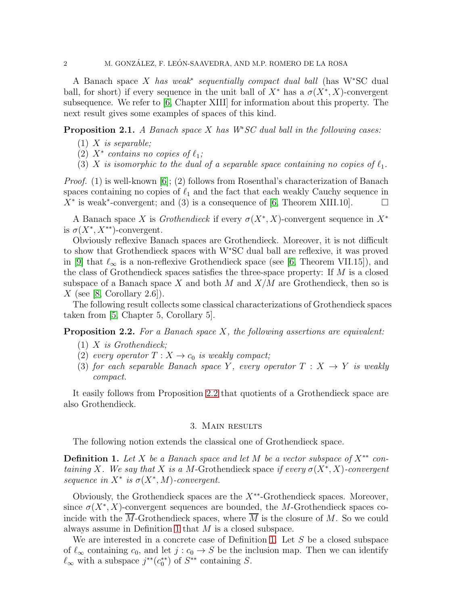## 2 M. GONZÁLEZ, F. LEÓN-SAAVEDRA, AND M.P. ROMERO DE LA ROSA

A Banach space X *has weak*<sup>∗</sup> *sequentially compact dual ball* (has W<sup>∗</sup>SC dual ball, for short) if every sequence in the unit ball of  $X^*$  has a  $\sigma(X^*, X)$ -convergent subsequence. We refer to [\[6,](#page-4-5) Chapter XIII] for information about this property. The next result gives some examples of spaces of this kind.

<span id="page-1-2"></span>Proposition 2.1. *A Banach space* X *has W*<sup>∗</sup>*SC dual ball in the following cases:*

- (1) X *is separable;*
- $\chi^2$   $\chi^*$  *contains no copies of*  $\ell_1$ ;
- (3) X *is isomorphic to the dual of a separable space containing no copies of*  $\ell_1$ *.*

*Proof.* (1) is well-known [\[6\]](#page-4-5); (2) follows from Rosenthal's characterization of Banach spaces containing no copies of  $\ell_1$  and the fact that each weakly Cauchy sequence in  $\overline{X}^*$  is weak<sup>\*</sup>-convergent; and (3) is a consequence of [\[6,](#page-4-5) Theorem XIII.10].  $\Box$ 

A Banach space X is *Grothendieck* if every  $\sigma(X^*, X)$ -convergent sequence in  $X^*$ is  $\sigma(X^*, X^{**})$ -convergent.

Obviously reflexive Banach spaces are Grothendieck. Moreover, it is not difficult to show that Grothendieck spaces with W<sup>∗</sup>SC dual ball are reflexive, it was proved in [\[9\]](#page-4-6) that  $\ell_{\infty}$  is a non-reflexive Grothendieck space (see [\[6,](#page-4-5) Theorem VII.15]), and the class of Grothendieck spaces satisfies the three-space property: If  $M$  is a closed subspace of a Banach space X and both M and  $X/M$  are Grothendieck, then so is X (see [\[8,](#page-4-7) Corollary 2.6]).

The following result collects some classical characterizations of Grothendieck spaces taken from [\[5,](#page-4-8) Chapter 5, Corollary 5].

<span id="page-1-0"></span>Proposition 2.2. *For a Banach space* X*, the following assertions are equivalent:*

- (1) X *is Grothendieck;*
- (2) *every operator*  $T: X \rightarrow c_0$  *is weakly compact;*
- (3) *for each separable Banach space* Y, *every operator*  $T : X \rightarrow Y$  *is weakly compact.*

It easily follows from Proposition [2.2](#page-1-0) that quotients of a Grothendieck space are also Grothendieck.

### 3. Main results

The following notion extends the classical one of Grothendieck space.

<span id="page-1-1"></span>Definition 1. *Let* X *be a Banach space and let* M *be a vector subspace of* X∗∗ *containing* X. We say that X is a M-Grothendieck space if every  $\sigma(X^*, X)$ -convergent  $sequence in X^* is \sigma(X^*, M)$ -convergent.

Obviously, the Grothendieck spaces are the  $X^{**}$ -Grothendieck spaces. Moreover, since  $\sigma(X^*, X)$ -convergent sequences are bounded, the M-Grothendieck spaces coincide with the M-Grothendieck spaces, where  $M$  is the closure of  $M$ . So we could always assume in Definition [1](#page-1-1) that M is a closed subspace.

We are interested in a concrete case of Definition [1.](#page-1-1) Let  $S$  be a closed subspace of  $\ell_{\infty}$  containing  $c_0$ , and let  $j : c_0 \to S$  be the inclusion map. Then we can identify  $\ell_{\infty}$  with a subspace  $j^{**}(c_0^{**})$  of  $S^{**}$  containing S.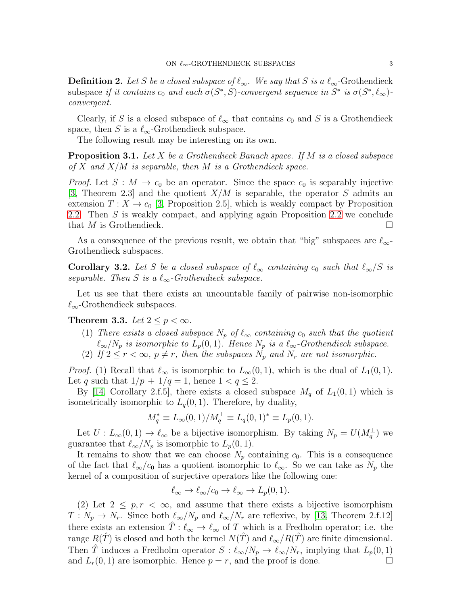<span id="page-2-0"></span>**Definition 2.** Let S be a closed subspace of  $\ell_{\infty}$ . We say that S is a  $\ell_{\infty}$ -Grothendieck subspace if it contains  $c_0$  and each  $\sigma(S^*, \dot{S})$ -convergent sequence in  $S^*$  is  $\sigma(S^*, \ell_\infty)$ *convergent.*

Clearly, if S is a closed subspace of  $\ell_{\infty}$  that contains  $c_0$  and S is a Grothendieck space, then S is a  $\ell_{\infty}$ -Grothendieck subspace.

The following result may be interesting on its own.

Proposition 3.1. *Let* X *be a Grothendieck Banach space. If* M *is a closed subspace of* X *and* X/M *is separable, then* M *is a Grothendieck space.*

*Proof.* Let  $S : M \to c_0$  be an operator. Since the space  $c_0$  is separably injective [\[3,](#page-4-9) Theorem 2.3] and the quotient  $X/M$  is separable, the operator S admits an extension  $T: X \to c_0$  [\[3,](#page-4-9) Proposition 2.5], which is weakly compact by Proposition [2.2.](#page-1-0) Then S is weakly compact, and applying again Proposition [2.2](#page-1-0) we conclude that M is Grothendieck.  $\Box$ 

As a consequence of the previous result, we obtain that "big" subspaces are  $\ell_{\infty}$ -Grothendieck subspaces.

**Corollary 3.2.** Let S be a closed subspace of  $\ell_{\infty}$  containing  $c_0$  such that  $\ell_{\infty}/S$  is *separable.* Then S is a  $\ell_{\infty}$ -Grothendieck subspace.

Let us see that there exists an uncountable family of pairwise non-isomorphic  $\ell_{\infty}$ -Grothendieck subspaces.

<span id="page-2-1"></span>Theorem 3.3. Let  $2 < p < \infty$ .

- (1) *There exists a closed subspace*  $N_p$  *of*  $\ell_{\infty}$  *containing*  $c_0$  *such that the quotient*  $\ell_{\infty}/N_p$  *is isomorphic to*  $L_p(0,1)$ *. Hence*  $N_p$  *is a*  $\ell_{\infty}$ *-Grothendieck subspace.*
- (2) If  $2 \le r < \infty$ ,  $p \ne r$ , then the subspaces  $N_p$  and  $N_r$  are not isomorphic.

*Proof.* (1) Recall that  $\ell_{\infty}$  is isomorphic to  $L_{\infty}(0,1)$ , which is the dual of  $L_1(0,1)$ . Let q such that  $1/p + 1/q = 1$ , hence  $1 < q \leq 2$ .

By [\[14,](#page-4-10) Corollary 2.f.5], there exists a closed subspace  $M_q$  of  $L_1(0,1)$  which is isometrically isomorphic to  $L_q(0, 1)$ . Therefore, by duality,

$$
M_q^* \equiv L_{\infty}(0,1)/M_q^{\perp} \equiv L_q(0,1)^* \equiv L_p(0,1).
$$

Let  $U: L_{\infty}(0,1) \to \ell_{\infty}$  be a bijective isomorphism. By taking  $N_p = U(M_q^{\perp})$  we guarantee that  $\ell_{\infty}/N_p$  is isomorphic to  $L_p(0,1)$ .

It remains to show that we can choose  $N_p$  containing  $c_0$ . This is a consequence of the fact that  $\ell_{\infty}/c_0$  has a quotient isomorphic to  $\ell_{\infty}$ . So we can take as  $N_p$  the kernel of a composition of surjective operators like the following one:

$$
\ell_{\infty} \to \ell_{\infty}/c_0 \to \ell_{\infty} \to L_p(0,1).
$$

(2) Let  $2 \leq p, r < \infty$ , and assume that there exists a bijective isomorphism  $T: N_p \to N_r$ . Since both  $\ell_{\infty}/N_p$  and  $\ell_{\infty}/N_r$  are reflexive, by [\[13,](#page-4-11) Theorem 2.f.12] there exists an extension  $\hat{T}$  :  $\ell_{\infty} \to \ell_{\infty}$  of T which is a Fredholm operator; i.e. the range  $R(\hat{T})$  is closed and both the kernel  $N(\hat{T})$  and  $\ell_{\infty}/R(\hat{T})$  are finite dimensional. Then T induces a Fredholm operator  $S: \ell_{\infty}/N_p \to \ell_{\infty}/N_r$ , implying that  $L_p(0, 1)$ and  $L_r(0, 1)$  are isomorphic. Hence  $p = r$ , and the proof is done.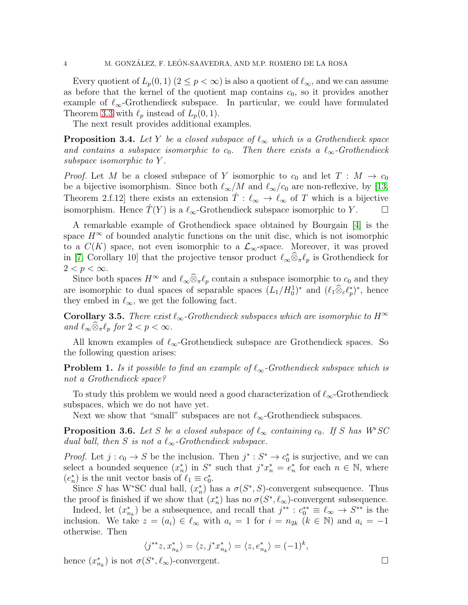Every quotient of  $L_p(0,1)$   $(2 \leq p < \infty)$  is also a quotient of  $\ell_{\infty}$ , and we can assume as before that the kernel of the quotient map contains  $c_0$ , so it provides another example of  $\ell_{\infty}$ -Grothendieck subspace. In particular, we could have formulated Theorem [3.3](#page-2-1) with  $\ell_p$  instead of  $L_p(0, 1)$ .

The next result provides additional examples.

**Proposition 3.4.** Let Y be a closed subspace of  $\ell_{\infty}$  which is a Grothendieck space and contains a subspace isomorphic to  $c_0$ . Then there exists a  $\ell_{\infty}$ -Grothendieck *subspace isomorphic to* Y *.*

*Proof.* Let M be a closed subspace of Y isomorphic to  $c_0$  and let  $T : M \to c_0$ be a bijective isomorphism. Since both  $\ell_{\infty}/M$  and  $\ell_{\infty}/c_0$  are non-reflexive, by [\[13,](#page-4-11) Theorem 2.f.12] there exists an extension  $T: \ell_{\infty} \to \ell_{\infty}$  of T which is a bijective isomorphism. Hence  $\hat{T}(Y)$  is a  $\ell_{\infty}$ -Grothendieck subspace isomorphic to Y.  $\Box$ 

A remarkable example of Grothendieck space obtained by Bourgain [\[4\]](#page-4-12) is the space  $H^{\infty}$  of bounded analytic functions on the unit disc, which is not isomorphic to a  $C(K)$  space, not even isomorphic to a  $\mathcal{L}_{\infty}$ -space. Moreover, it was proved in [\[7,](#page-4-13) Corollary 10] that the projective tensor product  $\ell_{\infty} \otimes_{\pi} \ell_p$  is Grothendieck for  $2 < p < \infty$ .

Since both spaces  $H^{\infty}$  and  $\ell_{\infty} \widehat{\otimes}_{\pi} \ell_p$  contain a subspace isomorphic to  $c_0$  and they are isomorphic to dual spaces of separable spaces  $(L_1/H_0^1)^*$  and  $(\ell_1\widehat{\otimes}_{\varepsilon}\ell_p^*)$  $(p^*)^*$ , hence they embed in  $\ell_{\infty}$ , we get the following fact.

**Corollary 3.5.** *There exist*  $\ell_{\infty}$ -Grothendieck subspaces which are isomorphic to  $H^{\infty}$ *and*  $\ell_{\infty} \widehat{\otimes}_{\pi} \ell_p$  *for*  $2 < p < \infty$ *.* 

All known examples of  $\ell_{\infty}$ -Grothendieck subspace are Grothendieck spaces. So the following question arises:

**Problem 1.** *Is it possible to find an example of*  $\ell_{\infty}$ -Grothendieck subspace which is *not a Grothendieck space?*

To study this problem we would need a good characterization of  $\ell_{\infty}$ -Grothendieck subspaces, which we do not have yet.

Next we show that "small" subspaces are not  $\ell_{\infty}$ -Grothendieck subspaces.

<span id="page-3-0"></span>**Proposition 3.6.** Let S be a closed subspace of  $\ell_{\infty}$  containing  $c_0$ . If S has  $W^*SC$ *dual ball, then* S *is not a*  $\ell_{\infty}$ -Grothendieck subspace.

*Proof.* Let  $j : c_0 \to S$  be the inclusion. Then  $j^* : S^* \to c_0^*$  is surjective, and we can select a bounded sequence  $(x_n^*)$ \*) in  $S^*$  such that  $j^*x_n^* = e_n^*$ \* for each  $n \in \mathbb{N}$ , where  $(e_n^*$ \*) is the unit vector basis of  $\ell_1 \equiv c_0^*$ .

Since S has W\*SC dual ball,  $(x_n^*)$  $\binom{*}{n}$  has a  $\sigma(S^*, S)$ -convergent subsequence. Thus the proof is finished if we show that  $(x_n^*)$ <sup>\*</sup>/<sub>n</sub>) has no  $\sigma(S^*, \ell_\infty)$ -convergent subsequence.

Indeed, let  $(x_n^*)$ nk ) be a subsequence, and recall that j ∗∗ : c ∗∗ <sup>0</sup> ≡ ℓ<sup>∞</sup> → S ∗∗ is the inclusion. We take  $z = (a_i) \in \ell_\infty$  with  $a_i = 1$  for  $i = n_{2k}$   $(k \in \mathbb{N})$  and  $a_i = -1$ otherwise. Then

$$
\langle j^{**}z, x_{n_k}^* \rangle = \langle z, j^*x_{n_k}^* \rangle = \langle z, e_{n_k}^* \rangle = (-1)^k,
$$

hence  $(x_n^*)$  $\binom{*}{n_k}$  is not  $\sigma(S^*, \ell_\infty)$ -convergent.